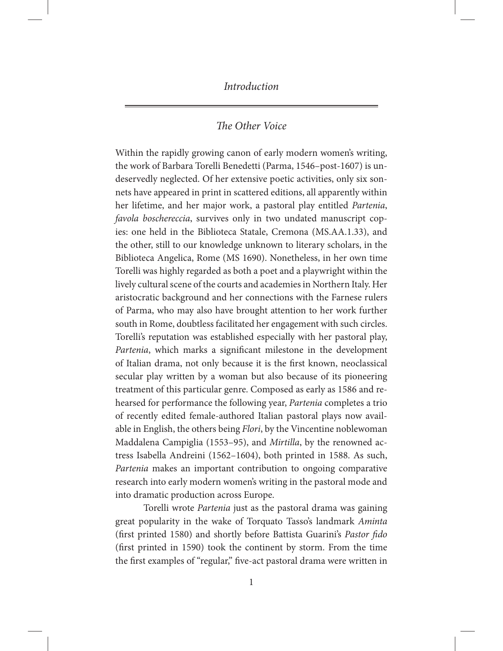# *The Other Voice*

Within the rapidly growing canon of early modern women's writing, the work of Barbara Torelli Benedetti (Parma, 1546–post-1607) is undeservedly neglected. Of her extensive poetic activities, only six sonnets have appeared in print in scattered editions, all apparently within her lifetime, and her major work, a pastoral play entitled *Partenia*, *favola boschereccia*, survives only in two undated manuscript copies: one held in the Biblioteca Statale, Cremona (MS.AA.1.33), and the other, still to our knowledge unknown to literary scholars, in the Biblioteca Angelica, Rome (MS 1690). Nonetheless, in her own time Torelli was highly regarded as both a poet and a playwright within the lively cultural scene of the courts and academies in Northern Italy. Her aristocratic background and her connections with the Farnese rulers of Parma, who may also have brought attention to her work further south in Rome, doubtless facilitated her engagement with such circles. Torelli's reputation was established especially with her pastoral play, *Partenia*, which marks a significant milestone in the development of Italian drama, not only because it is the first known, neoclassical secular play written by a woman but also because of its pioneering treatment of this particular genre. Composed as early as 1586 and rehearsed for performance the following year, *Partenia* completes a trio of recently edited female-authored Italian pastoral plays now available in English, the others being *Flori*, by the Vincentine noblewoman Maddalena Campiglia (1553–95), and *Mirtilla*, by the renowned actress Isabella Andreini (1562–1604), both printed in 1588. As such, *Partenia* makes an important contribution to ongoing comparative research into early modern women's writing in the pastoral mode and into dramatic production across Europe.

Torelli wrote *Partenia* just as the pastoral drama was gaining great popularity in the wake of Torquato Tasso's landmark *Aminta* (first printed 1580) and shortly before Battista Guarini's *Pastor fido*  (first printed in 1590) took the continent by storm. From the time the first examples of "regular," five-act pastoral drama were written in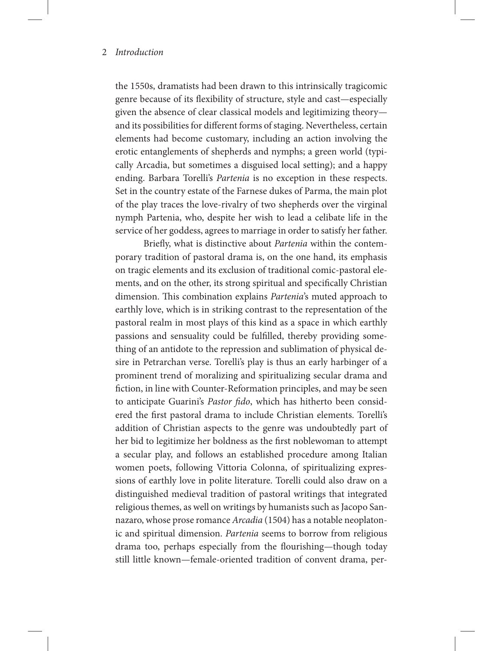the 1550s, dramatists had been drawn to this intrinsically tragicomic genre because of its flexibility of structure, style and cast—especially given the absence of clear classical models and legitimizing theory and its possibilities for different forms of staging. Nevertheless, certain elements had become customary, including an action involving the erotic entanglements of shepherds and nymphs; a green world (typically Arcadia, but sometimes a disguised local setting); and a happy ending. Barbara Torelli's *Partenia* is no exception in these respects. Set in the country estate of the Farnese dukes of Parma, the main plot of the play traces the love-rivalry of two shepherds over the virginal nymph Partenia, who, despite her wish to lead a celibate life in the service of her goddess, agrees to marriage in order to satisfy her father.

Briefly, what is distinctive about *Partenia* within the contemporary tradition of pastoral drama is, on the one hand, its emphasis on tragic elements and its exclusion of traditional comic-pastoral elements, and on the other, its strong spiritual and specifically Christian dimension. This combination explains *Partenia*'s muted approach to earthly love, which is in striking contrast to the representation of the pastoral realm in most plays of this kind as a space in which earthly passions and sensuality could be fulfilled, thereby providing something of an antidote to the repression and sublimation of physical desire in Petrarchan verse. Torelli's play is thus an early harbinger of a prominent trend of moralizing and spiritualizing secular drama and fiction, in line with Counter-Reformation principles, and may be seen to anticipate Guarini's *Pastor fido*, which has hitherto been considered the first pastoral drama to include Christian elements. Torelli's addition of Christian aspects to the genre was undoubtedly part of her bid to legitimize her boldness as the first noblewoman to attempt a secular play, and follows an established procedure among Italian women poets, following Vittoria Colonna, of spiritualizing expressions of earthly love in polite literature. Torelli could also draw on a distinguished medieval tradition of pastoral writings that integrated religious themes, as well on writings by humanists such as Jacopo Sannazaro, whose prose romance *Arcadia* (1504) has a notable neoplatonic and spiritual dimension. *Partenia* seems to borrow from religious drama too, perhaps especially from the flourishing—though today still little known—female-oriented tradition of convent drama, per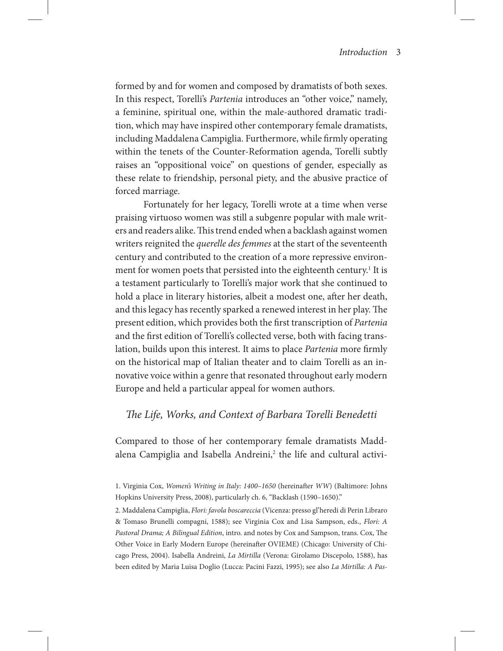formed by and for women and composed by dramatists of both sexes. In this respect, Torelli's *Partenia* introduces an "other voice," namely, a feminine, spiritual one, within the male-authored dramatic tradition, which may have inspired other contemporary female dramatists, including Maddalena Campiglia. Furthermore, while firmly operating within the tenets of the Counter-Reformation agenda, Torelli subtly raises an "oppositional voice" on questions of gender, especially as these relate to friendship, personal piety, and the abusive practice of forced marriage.

Fortunately for her legacy, Torelli wrote at a time when verse praising virtuoso women was still a subgenre popular with male writers and readers alike. This trend ended when a backlash against women writers reignited the *querelle des femmes* at the start of the seventeenth century and contributed to the creation of a more repressive environment for women poets that persisted into the eighteenth century.<sup>1</sup> It is a testament particularly to Torelli's major work that she continued to hold a place in literary histories, albeit a modest one, after her death, and this legacy has recently sparked a renewed interest in her play. The present edition, which provides both the first transcription of *Partenia* and the first edition of Torelli's collected verse, both with facing translation, builds upon this interest. It aims to place *Partenia* more firmly on the historical map of Italian theater and to claim Torelli as an innovative voice within a genre that resonated throughout early modern Europe and held a particular appeal for women authors.

# *The Life, Works, and Context of Barbara Torelli Benedetti*

Compared to those of her contemporary female dramatists Maddalena Campiglia and Isabella Andreini,<sup>2</sup> the life and cultural activi-

<sup>1.</sup> Virginia Cox, *Women's Writing in Italy: 1400–1650* (hereinafter *WW*) (Baltimore: Johns Hopkins University Press, 2008), particularly ch. 6, "Backlash (1590–1650)."

<sup>2.</sup> Maddalena Campiglia, *Flori: favola boscareccia* (Vicenza: presso gl'heredi di Perin Libraro & Tomaso Brunelli compagni, 1588); see Virginia Cox and Lisa Sampson, eds., *Flori: A Pastoral Drama; A Bilingual Edition*, intro. and notes by Cox and Sampson, trans. Cox, The Other Voice in Early Modern Europe (hereinafter OVIEME) (Chicago: University of Chicago Press, 2004). Isabella Andreini, *La Mirtilla* (Verona: Girolamo Discepolo, 1588), has been edited by Maria Luisa Doglio (Lucca: Pacini Fazzi, 1995); see also *La Mirtilla: A Pas-*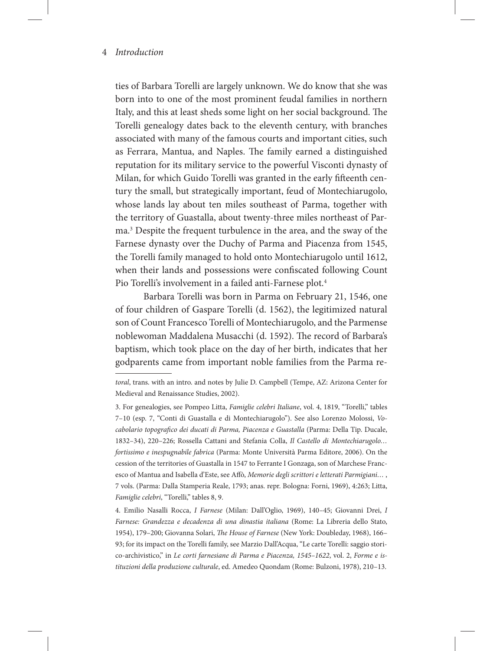ties of Barbara Torelli are largely unknown. We do know that she was born into to one of the most prominent feudal families in northern Italy, and this at least sheds some light on her social background. The Torelli genealogy dates back to the eleventh century, with branches associated with many of the famous courts and important cities, such as Ferrara, Mantua, and Naples. The family earned a distinguished reputation for its military service to the powerful Visconti dynasty of Milan, for which Guido Torelli was granted in the early fifteenth century the small, but strategically important, feud of Montechiarugolo, whose lands lay about ten miles southeast of Parma, together with the territory of Guastalla, about twenty-three miles northeast of Parma.3 Despite the frequent turbulence in the area, and the sway of the Farnese dynasty over the Duchy of Parma and Piacenza from 1545, the Torelli family managed to hold onto Montechiarugolo until 1612, when their lands and possessions were confiscated following Count Pio Torelli's involvement in a failed anti-Farnese plot.<sup>4</sup>

Barbara Torelli was born in Parma on February 21, 1546, one of four children of Gaspare Torelli (d. 1562), the legitimized natural son of Count Francesco Torelli of Montechiarugolo, and the Parmense noblewoman Maddalena Musacchi (d. 1592). The record of Barbara's baptism, which took place on the day of her birth, indicates that her godparents came from important noble families from the Parma re-

*toral*, trans. with an intro. and notes by Julie D. Campbell (Tempe, AZ: Arizona Center for Medieval and Renaissance Studies, 2002).

<sup>3.</sup> For genealogies, see Pompeo Litta, *Famiglie celebri Italiane*, vol. 4, 1819, "Torelli," tables 7–10 (esp. 7, "Conti di Guastalla e di Montechiarugolo"). See also Lorenzo Molossi, *Vocabolario topografico dei ducati di Parma, Piacenza e Guastalla* (Parma: Della Tip. Ducale, 1832–34), 220–226; Rossella Cattani and Stefania Colla, *Il Castello di Montechiarugolo… fortissimo e inespugnabile fabrica* (Parma: Monte Università Parma Editore, 2006). On the cession of the territories of Guastalla in 1547 to Ferrante I Gonzaga, son of Marchese Francesco of Mantua and Isabella d'Este, see Affò, *Memorie degli scrittori e letterati Parmigiani…* , 7 vols. (Parma: Dalla Stamperia Reale, 1793; anas. repr. Bologna: Forni, 1969), 4:263; Litta, *Famiglie celebri*, "Torelli," tables 8, 9.

<sup>4.</sup> Emilio Nasalli Rocca, *I Farnese* (Milan: Dall'Oglio, 1969), 140–45; Giovanni Drei, *I Farnese: Grandezza e decadenza di una dinastia italiana* (Rome: La Libreria dello Stato, 1954), 179–200; Giovanna Solari, *The House of Farnese* (New York: Doubleday, 1968), 166– 93; for its impact on the Torelli family, see Marzio Dall'Acqua, "Le carte Torelli: saggio storico-archivistico," in *Le corti farnesiane di Parma e Piacenza, 1545–1622*, vol. 2, *Forme e istituzioni della produzione culturale*, ed. Amedeo Quondam (Rome: Bulzoni, 1978), 210–13.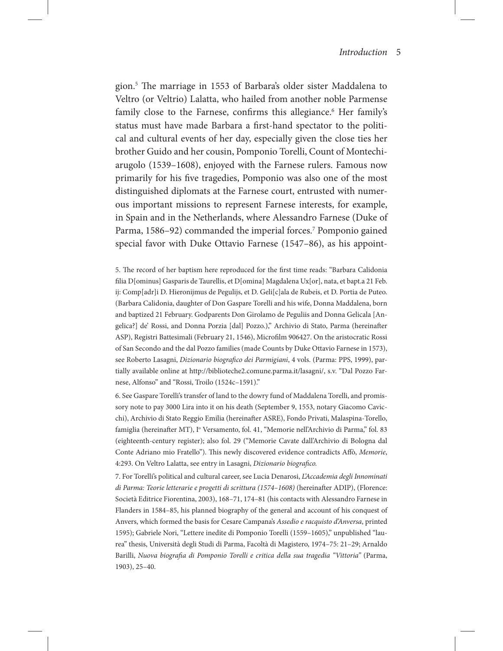gion.5 The marriage in 1553 of Barbara's older sister Maddalena to Veltro (or Veltrio) Lalatta, who hailed from another noble Parmense family close to the Farnese, confirms this allegiance.<sup>6</sup> Her family's status must have made Barbara a first-hand spectator to the political and cultural events of her day, especially given the close ties her brother Guido and her cousin, Pomponio Torelli, Count of Montechiarugolo (1539–1608), enjoyed with the Farnese rulers. Famous now primarily for his five tragedies, Pomponio was also one of the most distinguished diplomats at the Farnese court, entrusted with numerous important missions to represent Farnese interests, for example, in Spain and in the Netherlands, where Alessandro Farnese (Duke of Parma, 1586-92) commanded the imperial forces.<sup>7</sup> Pomponio gained special favor with Duke Ottavio Farnese (1547–86), as his appoint-

5. The record of her baptism here reproduced for the first time reads: "Barbara Calidonia filia D[ominus] Gasparis de Taurellis, et D[omina] Magdalena Ux[or], nata, et bapt.a 21 Feb. ij: Comp[adr]i D. Hieronijmus de Pegulijs, et D. Geli[c]ala de Rubeis, et D. Portia de Puteo. (Barbara Calidonia, daughter of Don Gaspare Torelli and his wife, Donna Maddalena, born and baptized 21 February. Godparents Don Girolamo de Peguliis and Donna Gelicala [Angelica?] de' Rossi, and Donna Porzia [dal] Pozzo.)," Archivio di Stato, Parma (hereinafter ASP), Registri Battesimali (February 21, 1546), Microfilm 906427. On the aristocratic Rossi of San Secondo and the dal Pozzo families (made Counts by Duke Ottavio Farnese in 1573), see Roberto Lasagni, *Dizionario biografico dei Parmigiani*, 4 vols. (Parma: PPS, 1999), partially available online at http://biblioteche2.comune.parma.it/lasagni/, s.v. "Dal Pozzo Farnese, Alfonso" and "Rossi, Troilo (1524c–1591)."

6. See Gaspare Torelli's transfer of land to the dowry fund of Maddalena Torelli, and promissory note to pay 3000 Lira into it on his death (September 9, 1553, notary Giacomo Cavicchi), Archivio di Stato Reggio Emilia (hereinafter ASRE), Fondo Privati, Malaspina-Torello, famiglia (hereinafter MT), I° Versamento, fol. 41, "Memorie nell'Archivio di Parma," fol. 83 (eighteenth-century register); also fol. 29 ("Memorie Cavate dall'Archivio di Bologna dal Conte Adriano mio Fratello"). This newly discovered evidence contradicts Affò, *Memorie*, 4:293. On Veltro Lalatta, see entry in Lasagni, *Dizionario biografico.*

7. For Torelli's political and cultural career, see Lucia Denarosi, *L'Accademia degli Innominati di Parma: Teorie letterarie e progetti di scrittura (1574–1608)* (hereinafter ADIP), (Florence: Società Editrice Fiorentina, 2003), 168–71, 174–81 (his contacts with Alessandro Farnese in Flanders in 1584–85, his planned biography of the general and account of his conquest of Anvers, which formed the basis for Cesare Campana's *Assedio e racquisto d'Anversa*, printed 1595); Gabriele Nori, "Lettere inedite di Pomponio Torelli (1559–1605)," unpublished "laurea" thesis, Università degli Studi di Parma, Facoltà di Magistero, 1974–75: 21–29; Arnaldo Barilli, *Nuova biografia di Pomponio Torelli e critica della sua tragedia "Vittoria"* (Parma, 1903), 25–40.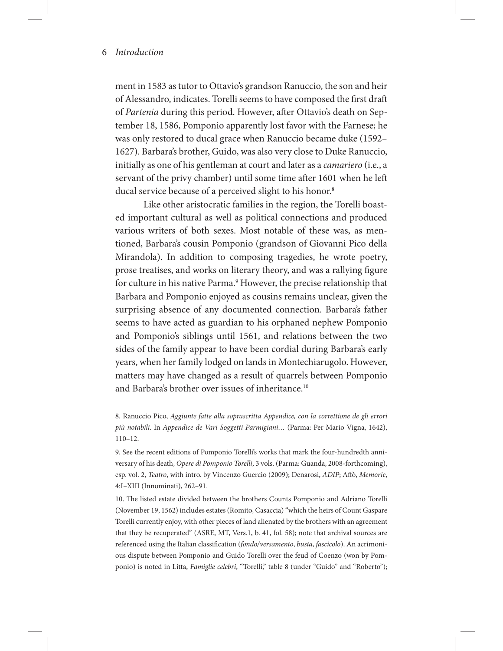ment in 1583 as tutor to Ottavio's grandson Ranuccio, the son and heir of Alessandro, indicates. Torelli seems to have composed the first draft of *Partenia* during this period. However, after Ottavio's death on September 18, 1586, Pomponio apparently lost favor with the Farnese; he was only restored to ducal grace when Ranuccio became duke (1592– 1627). Barbara's brother, Guido, was also very close to Duke Ranuccio, initially as one of his gentleman at court and later as a *camariero* (i.e., a servant of the privy chamber) until some time after 1601 when he left ducal service because of a perceived slight to his honor.<sup>8</sup>

Like other aristocratic families in the region, the Torelli boasted important cultural as well as political connections and produced various writers of both sexes. Most notable of these was, as mentioned, Barbara's cousin Pomponio (grandson of Giovanni Pico della Mirandola). In addition to composing tragedies, he wrote poetry, prose treatises, and works on literary theory, and was a rallying figure for culture in his native Parma.<sup>9</sup> However, the precise relationship that Barbara and Pomponio enjoyed as cousins remains unclear, given the surprising absence of any documented connection. Barbara's father seems to have acted as guardian to his orphaned nephew Pomponio and Pomponio's siblings until 1561, and relations between the two sides of the family appear to have been cordial during Barbara's early years, when her family lodged on lands in Montechiarugolo. However, matters may have changed as a result of quarrels between Pomponio and Barbara's brother over issues of inheritance.<sup>10</sup>

8. Ranuccio Pico, *Aggiunte fatte alla soprascritta Appendice, con la correttione de gli errori più notabili.* In *Appendice de Vari Soggetti Parmigiani…* (Parma: Per Mario Vigna, 1642), 110–12.

9. See the recent editions of Pomponio Torelli's works that mark the four-hundredth anniversary of his death, *Opere di Pomponio Torelli*, 3 vols. (Parma: Guanda, 2008-forthcoming), esp. vol. 2, *Teatro*, with intro. by Vincenzo Guercio (2009); Denarosi, *ADIP*; Affò, *Memorie*, 4:I–XIII (Innominati), 262–91.

10. The listed estate divided between the brothers Counts Pomponio and Adriano Torelli (November 19, 1562) includes estates (Romito, Casaccia) "which the heirs of Count Gaspare Torelli currently enjoy, with other pieces of land alienated by the brothers with an agreement that they be recuperated" (ASRE, MT, Vers.1, b. 41, fol. 58); note that archival sources are referenced using the Italian classification (*fondo/versamento*, *busta*, *fascicolo*). An acrimonious dispute between Pomponio and Guido Torelli over the feud of Coenzo (won by Pomponio) is noted in Litta, *Famiglie celebri*, "Torelli," table 8 (under "Guido" and "Roberto");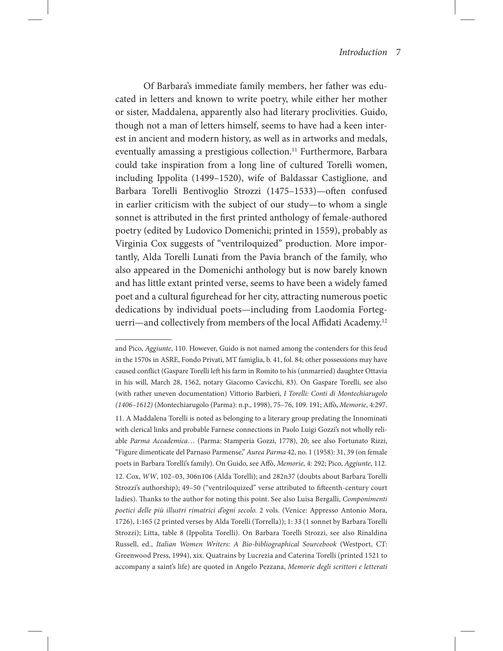Of Barbara's immediate family members, her father was educated in letters and known to write poetry, while either her mother or sister, Maddalena, apparently also had literary proclivities. Guido, though not a man of letters himself, seems to have had a keen interest in ancient and modern history, as well as in artworks and medals, eventually amassing a prestigious collection.<sup>11</sup> Furthermore, Barbara could take inspiration from a long line of cultured Torelli women, including Ippolita (1499–1520), wife of Baldassar Castiglione, and Barbara Torelli Bentivoglio Strozzi (1475–1533)—often confused in earlier criticism with the subject of our study—to whom a single sonnet is attributed in the first printed anthology of female-authored poetry (edited by Ludovico Domenichi; printed in 1559), probably as Virginia Cox suggests of "ventriloquized" production. More importantly, Alda Torelli Lunati from the Pavia branch of the family, who also appeared in the Domenichi anthology but is now barely known and has little extant printed verse, seems to have been a widely famed poet and a cultural figurehead for her city, attracting numerous poetic dedications by individual poets—including from Laodomia Forteguerri—and collectively from members of the local Affidati Academy.12

and Pico, *Aggiunte*, 110. However, Guido is not named among the contenders for this feud in the 1570s in ASRE, Fondo Privati, MT famiglia, b. 41, fol. 84; other possessions may have caused conflict (Gaspare Torelli left his farm in Romito to his (unmarried) daughter Ottavia in his will, March 28, 1562, notary Giacomo Cavicchi, 83). On Gaspare Torelli, see also (with rather uneven documentation) Vittorio Barbieri, *I Torelli: Conti di Montechiarugolo (1406–1612)* (Montechiarugolo (Parma): n.p., 1998), 75–76, 109. 191; Affò, *Memorie*, 4:297. 11. A Maddalena Torelli is noted as belonging to a literary group predating the Innominati with clerical links and probable Farnese connections in Paolo Luigi Gozzi's not wholly reliable *Parma Accademica*… (Parma: Stamperia Gozzi, 1778), 20; see also Fortunato Rizzi, "Figure dimenticate del Parnaso Parmense," *Aurea Parma* 42, no. 1 (1958): 31, 39 (on female poets in Barbara Torelli's family). On Guido, see Affò, *Memorie*, 4: 292; Pico, *Aggiunte*, 112. 12. Cox, *WW*, 102–03, 306n106 (Alda Torelli); and 282n37 (doubts about Barbara Torelli Strozzi's authorship); 49–50 ("ventriloquized" verse attributed to fifteenth-century court ladies). Thanks to the author for noting this point. See also Luisa Bergalli, *Componimenti poetici delle più illustri rimatrici d'ogni secolo.* 2 vols. (Venice: Appresso Antonio Mora, 1726), 1:165 (2 printed verses by Alda Torelli (Torrella)); 1: 33 (1 sonnet by Barbara Torelli Strozzi); Litta, table 8 (Ippolita Torelli). On Barbara Torelli Strozzi, see also Rinaldina Russell, ed., *Italian Women Writers: A Bio-bibliographical Sourcebook* (Westport, CT: Greenwood Press, 1994), xix. Quatrains by Lucrezia and Caterina Torelli (printed 1521 to accompany a saint's life) are quoted in Angelo Pezzana, *Memorie degli scrittori e letterati*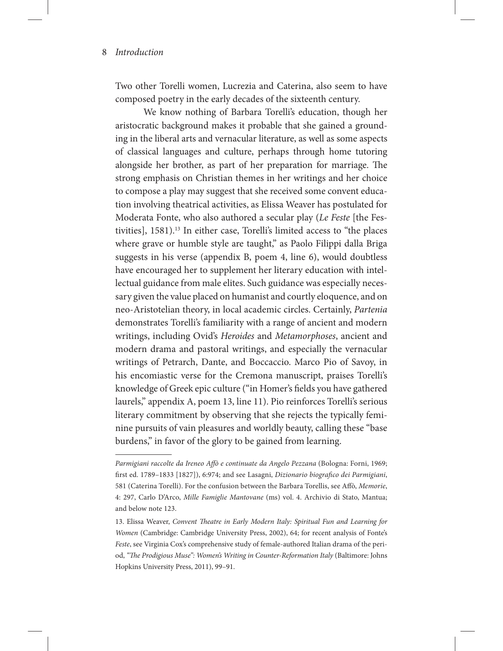Two other Torelli women, Lucrezia and Caterina, also seem to have composed poetry in the early decades of the sixteenth century.

We know nothing of Barbara Torelli's education, though her aristocratic background makes it probable that she gained a grounding in the liberal arts and vernacular literature, as well as some aspects of classical languages and culture, perhaps through home tutoring alongside her brother, as part of her preparation for marriage. The strong emphasis on Christian themes in her writings and her choice to compose a play may suggest that she received some convent education involving theatrical activities, as Elissa Weaver has postulated for Moderata Fonte, who also authored a secular play (*Le Feste* [the Festivities], 1581).<sup>13</sup> In either case, Torelli's limited access to "the places where grave or humble style are taught," as Paolo Filippi dalla Briga suggests in his verse (appendix B, poem 4, line 6), would doubtless have encouraged her to supplement her literary education with intellectual guidance from male elites. Such guidance was especially necessary given the value placed on humanist and courtly eloquence, and on neo-Aristotelian theory, in local academic circles. Certainly, *Partenia* demonstrates Torelli's familiarity with a range of ancient and modern writings, including Ovid's *Heroides* and *Metamorphoses*, ancient and modern drama and pastoral writings, and especially the vernacular writings of Petrarch, Dante, and Boccaccio. Marco Pio of Savoy, in his encomiastic verse for the Cremona manuscript, praises Torelli's knowledge of Greek epic culture ("in Homer's fields you have gathered laurels," appendix A, poem 13, line 11). Pio reinforces Torelli's serious literary commitment by observing that she rejects the typically feminine pursuits of vain pleasures and worldly beauty, calling these "base burdens," in favor of the glory to be gained from learning.

Parmigiani raccolte da Ireneo Affò e continuate da Angelo Pezzana (Bologna: Forni, 1969; first ed. 1789–1833 [1827]), 6:974; and see Lasagni, *Dizionario biografico dei Parmigiani*, 581 (Caterina Torelli). For the confusion between the Barbara Torellis, see Affò, *Memorie*, 4: 297, Carlo D'Arco, *Mille Famiglie Mantovane* (ms) vol. 4. Archivio di Stato, Mantua; and below note 123.

<sup>13.</sup> Elissa Weaver, *Convent Theatre in Early Modern Italy: Spiritual Fun and Learning for Women* (Cambridge: Cambridge University Press, 2002), 64; for recent analysis of Fonte's *Feste*, see Virginia Cox's comprehensive study of female-authored Italian drama of the period, "The Prodigious Muse": Women's Writing in Counter-Reformation Italy (Baltimore: Johns Hopkins University Press, 2011), 99–91.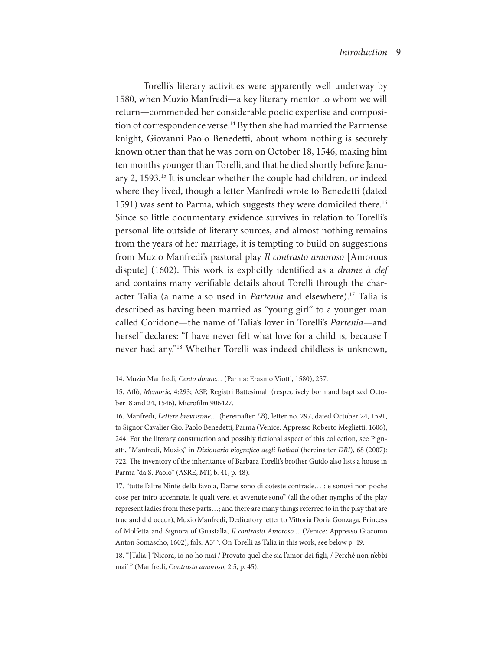Torelli's literary activities were apparently well underway by 1580, when Muzio Manfredi—a key literary mentor to whom we will return—commended her considerable poetic expertise and composition of correspondence verse.<sup>14</sup> By then she had married the Parmense knight, Giovanni Paolo Benedetti, about whom nothing is securely known other than that he was born on October 18, 1546, making him ten months younger than Torelli, and that he died shortly before January 2, 1593.15 It is unclear whether the couple had children, or indeed where they lived, though a letter Manfredi wrote to Benedetti (dated 1591) was sent to Parma, which suggests they were domiciled there.<sup>16</sup> Since so little documentary evidence survives in relation to Torelli's personal life outside of literary sources, and almost nothing remains from the years of her marriage, it is tempting to build on suggestions from Muzio Manfredi's pastoral play *Il contrasto amoroso* [Amorous dispute] (1602). This work is explicitly identified as a *drame à clef*  and contains many verifiable details about Torelli through the character Talia (a name also used in *Partenia* and elsewhere).<sup>17</sup> Talia is described as having been married as "young girl" to a younger man called Coridone—the name of Talia's lover in Torelli's *Partenia*—and herself declares: "I have never felt what love for a child is, because I never had any."18 Whether Torelli was indeed childless is unknown,

16. Manfredi, *Lettere brevissime…* (hereinafter *LB*), letter no. 297, dated October 24, 1591, to Signor Cavalier Gio. Paolo Benedetti, Parma (Venice: Appresso Roberto Meglietti, 1606), 244. For the literary construction and possibly fictional aspect of this collection, see Pignatti, "Manfredi, Muzio," in *Dizionario biografico degli Italiani* (hereinafter *DBI*), 68 (2007): 722. The inventory of the inheritance of Barbara Torelli's brother Guido also lists a house in Parma "da S. Paolo" (ASRE, MT, b. 41, p. 48).

17. "tutte l'altre Ninfe della favola, Dame sono di coteste contrade… : e sonovi non poche cose per intro accennate, le quali vere, et avvenute sono" (all the other nymphs of the play represent ladies from these parts…; and there are many things referred to in the play that are true and did occur), Muzio Manfredi, Dedicatory letter to Vittoria Doria Gonzaga, Princess of Molfetta and Signora of Guastalla, *Il contrasto Amoroso…* (Venice: Appresso Giacomo Anton Somascho, 1602), fols. A<sup>3r-v</sup>. On Torelli as Talia in this work, see below p. 49.

18. "[Talia:] 'Nicora, io no ho mai / Provato quel che sia l'amor dei figli, / Perché non n'ebbi mai' " (Manfredi, *Contrasto amoroso*, 2.5, p. 45).

<sup>14.</sup> Muzio Manfredi, *Cento donne…* (Parma: Erasmo Viotti, 1580), 257.

<sup>15.</sup> Affò, *Memorie*, 4:293; ASP, Registri Battesimali (respectively born and baptized October18 and 24, 1546), Microfilm 906427.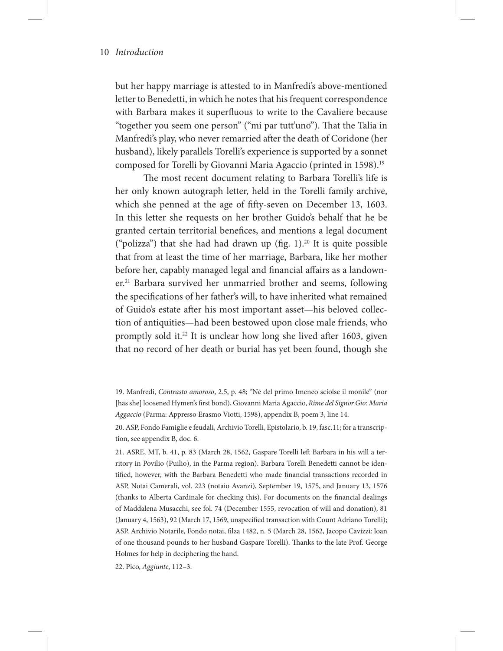but her happy marriage is attested to in Manfredi's above-mentioned letter to Benedetti, in which he notes that his frequent correspondence with Barbara makes it superfluous to write to the Cavaliere because "together you seem one person" ("mi par tutt'uno"). That the Talia in Manfredi's play, who never remarried after the death of Coridone (her husband), likely parallels Torelli's experience is supported by a sonnet composed for Torelli by Giovanni Maria Agaccio (printed in 1598).<sup>19</sup>

The most recent document relating to Barbara Torelli's life is her only known autograph letter, held in the Torelli family archive, which she penned at the age of fifty-seven on December 13, 1603. In this letter she requests on her brother Guido's behalf that he be granted certain territorial benefices, and mentions a legal document ("polizza") that she had had drawn up (fig.  $1$ ).<sup>20</sup> It is quite possible that from at least the time of her marriage, Barbara, like her mother before her, capably managed legal and financial affairs as a landowner.<sup>21</sup> Barbara survived her unmarried brother and seems, following the specifications of her father's will, to have inherited what remained of Guido's estate after his most important asset—his beloved collection of antiquities—had been bestowed upon close male friends, who promptly sold it.22 It is unclear how long she lived after 1603, given that no record of her death or burial has yet been found, though she

22. Pico, *Aggiunte*, 112–3.

<sup>19.</sup> Manfredi, *Contrasto amoroso*, 2.5, p. 48; "Né del primo Imeneo sciolse il monile" (nor [has she] loosened Hymen's first bond), Giovanni Maria Agaccio, *Rime del Signor Gio: Maria Aggaccio* (Parma: Appresso Erasmo Viotti, 1598), appendix B, poem 3, line 14.

<sup>20.</sup> ASP, Fondo Famiglie e feudali, Archivio Torelli, Epistolario, b. 19, fasc.11; for a transcription, see appendix B, doc. 6.

<sup>21.</sup> ASRE, MT, b. 41, p. 83 (March 28, 1562, Gaspare Torelli left Barbara in his will a territory in Povilio (Puilio), in the Parma region). Barbara Torelli Benedetti cannot be identified, however, with the Barbara Benedetti who made financial transactions recorded in ASP, Notai Camerali, vol. 223 (notaio Avanzi), September 19, 1575, and January 13, 1576 (thanks to Alberta Cardinale for checking this). For documents on the financial dealings of Maddalena Musacchi, see fol. 74 (December 1555, revocation of will and donation), 81 (January 4, 1563), 92 (March 17, 1569, unspecified transaction with Count Adriano Torelli); ASP, Archivio Notarile, Fondo notai, filza 1482, n. 5 (March 28, 1562, Jacopo Cavizzi: loan of one thousand pounds to her husband Gaspare Torelli). Thanks to the late Prof. George Holmes for help in deciphering the hand.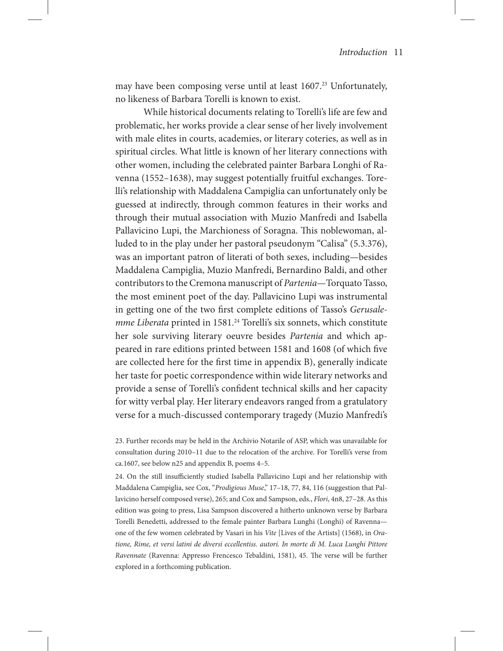may have been composing verse until at least  $1607<sup>23</sup>$  Unfortunately, no likeness of Barbara Torelli is known to exist.

While historical documents relating to Torelli's life are few and problematic, her works provide a clear sense of her lively involvement with male elites in courts, academies, or literary coteries, as well as in spiritual circles. What little is known of her literary connections with other women, including the celebrated painter Barbara Longhi of Ravenna (1552–1638), may suggest potentially fruitful exchanges. Torelli's relationship with Maddalena Campiglia can unfortunately only be guessed at indirectly, through common features in their works and through their mutual association with Muzio Manfredi and Isabella Pallavicino Lupi, the Marchioness of Soragna. This noblewoman, alluded to in the play under her pastoral pseudonym "Calisa" (5.3.376), was an important patron of literati of both sexes, including—besides Maddalena Campiglia, Muzio Manfredi, Bernardino Baldi, and other contributors to the Cremona manuscript of *Partenia*—Torquato Tasso, the most eminent poet of the day. Pallavicino Lupi was instrumental in getting one of the two first complete editions of Tasso's *Gerusalemme Liberata* printed in 1581.<sup>24</sup> Torelli's six sonnets, which constitute her sole surviving literary oeuvre besides *Partenia* and which appeared in rare editions printed between 1581 and 1608 (of which five are collected here for the first time in appendix B), generally indicate her taste for poetic correspondence within wide literary networks and provide a sense of Torelli's confident technical skills and her capacity for witty verbal play. Her literary endeavors ranged from a gratulatory verse for a much-discussed contemporary tragedy (Muzio Manfredi's

23. Further records may be held in the Archivio Notarile of ASP, which was unavailable for consultation during 2010–11 due to the relocation of the archive. For Torelli's verse from ca.1607, see below n25 and appendix B, poems 4–5.

24. On the still insufficiently studied Isabella Pallavicino Lupi and her relationship with Maddalena Campiglia, see Cox, "*Prodigious Muse*," 17–18, 77, 84, 116 (suggestion that Pallavicino herself composed verse), 265; and Cox and Sampson, eds., *Flori*, 4n8, 27–28. As this edition was going to press, Lisa Sampson discovered a hitherto unknown verse by Barbara Torelli Benedetti, addressed to the female painter Barbara Lunghi (Longhi) of Ravenna one of the few women celebrated by Vasari in his *Vite* [Lives of the Artists] (1568), in *Oratione, Rime, et versi latini de diversi eccellentiss. autori. In morte di M. Luca Lunghi Pittore Ravennate* (Ravenna: Appresso Frencesco Tebaldini, 1581), 45. The verse will be further explored in a forthcoming publication.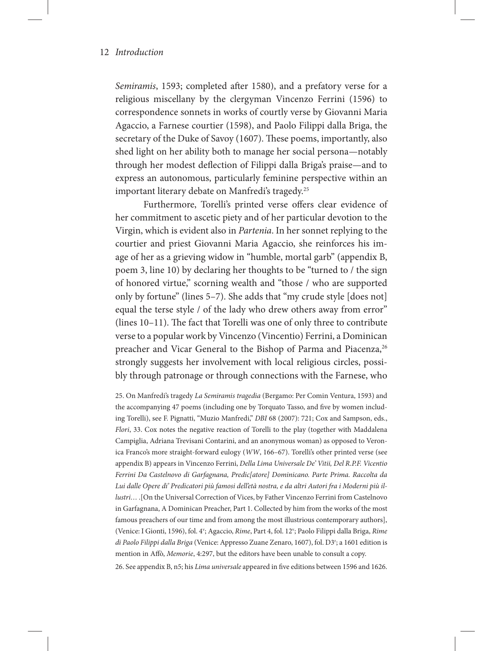*Semiramis*, 1593; completed after 1580), and a prefatory verse for a religious miscellany by the clergyman Vincenzo Ferrini (1596) to correspondence sonnets in works of courtly verse by Giovanni Maria Agaccio, a Farnese courtier (1598), and Paolo Filippi dalla Briga, the secretary of the Duke of Savoy (1607). These poems, importantly, also shed light on her ability both to manage her social persona—notably through her modest deflection of Filippi dalla Briga's praise—and to express an autonomous, particularly feminine perspective within an important literary debate on Manfredi's tragedy.25

Furthermore, Torelli's printed verse offers clear evidence of her commitment to ascetic piety and of her particular devotion to the Virgin, which is evident also in *Partenia*. In her sonnet replying to the courtier and priest Giovanni Maria Agaccio, she reinforces his image of her as a grieving widow in "humble, mortal garb" (appendix B, poem 3, line 10) by declaring her thoughts to be "turned to / the sign of honored virtue," scorning wealth and "those / who are supported only by fortune" (lines 5–7). She adds that "my crude style [does not] equal the terse style / of the lady who drew others away from error" (lines 10–11). The fact that Torelli was one of only three to contribute verse to a popular work by Vincenzo (Vincentio) Ferrini, a Dominican preacher and Vicar General to the Bishop of Parma and Piacenza,<sup>26</sup> strongly suggests her involvement with local religious circles, possibly through patronage or through connections with the Farnese, who

25. On Manfredi's tragedy *La Semiramis tragedia* (Bergamo: Per Comin Ventura, 1593) and the accompanying 47 poems (including one by Torquato Tasso, and five by women including Torelli), see F. Pignatti, "Muzio Manfredi," *DBI* 68 (2007): 721; Cox and Sampson, eds., *Flori*, 33. Cox notes the negative reaction of Torelli to the play (together with Maddalena Campiglia, Adriana Trevisani Contarini, and an anonymous woman) as opposed to Veronica Franco's more straight-forward eulogy (*WW*, 166–67). Torelli's other printed verse (see appendix B) appears in Vincenzo Ferrini, *Della Lima Universale De' Vitii, Del R.P.F. Vicentio Ferrini Da Castelnovo di Garfagnana, Predic[atore] Dominicano. Parte Prima. Raccolta da Lui dalle Opere di' Predicatori più famosi dell'età nostra, e da altri Autori fra i Moderni più illustri…* .[On the Universal Correction of Vices, by Father Vincenzo Ferrini from Castelnovo in Garfagnana, A Dominican Preacher, Part 1. Collected by him from the works of the most famous preachers of our time and from among the most illustrious contemporary authors], (Venice: I Gionti, 1596), fol. 4<sup>v</sup>; Agaccio, Rime, Part 4, fol. 12<sup>v</sup>; Paolo Filippi dalla Briga, Rime *di Paolo Filippi dalla Briga* (Venice: Appresso Zuane Zenaro, 1607), fol. D3r ; a 1601 edition is mention in Affò, *Memorie*, 4:297, but the editors have been unable to consult a copy. 26. See appendix B, n5; his *Lima universale* appeared in five editions between 1596 and 1626.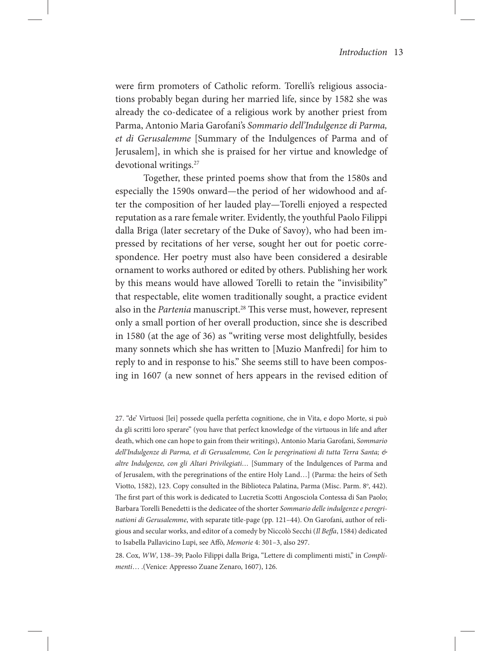were firm promoters of Catholic reform. Torelli's religious associations probably began during her married life, since by 1582 she was already the co-dedicatee of a religious work by another priest from Parma, Antonio Maria Garofani's *Sommario dell'Indulgenze di Parma, et di Gerusalemme* [Summary of the Indulgences of Parma and of Jerusalem], in which she is praised for her virtue and knowledge of devotional writings.<sup>27</sup>

Together, these printed poems show that from the 1580s and especially the 1590s onward—the period of her widowhood and after the composition of her lauded play—Torelli enjoyed a respected reputation as a rare female writer. Evidently, the youthful Paolo Filippi dalla Briga (later secretary of the Duke of Savoy), who had been impressed by recitations of her verse, sought her out for poetic correspondence. Her poetry must also have been considered a desirable ornament to works authored or edited by others. Publishing her work by this means would have allowed Torelli to retain the "invisibility" that respectable, elite women traditionally sought, a practice evident also in the *Partenia* manuscript.<sup>28</sup> This verse must, however, represent only a small portion of her overall production, since she is described in 1580 (at the age of 36) as "writing verse most delightfully, besides many sonnets which she has written to [Muzio Manfredi] for him to reply to and in response to his." She seems still to have been composing in 1607 (a new sonnet of hers appears in the revised edition of

<sup>27. &</sup>quot;de' Virtuosi [lei] possede quella perfetta cognitione, che in Vita, e dopo Morte, si può da gli scritti loro sperare" (you have that perfect knowledge of the virtuous in life and after death, which one can hope to gain from their writings), Antonio Maria Garofani, *Sommario dell'Indulgenze di Parma, et di Gerusalemme, Con le peregrinationi di tutta Terra Santa; & altre Indulgenze, con gli Altari Privilegiati…* [Summary of the Indulgences of Parma and of Jerusalem, with the peregrinations of the entire Holy Land…] (Parma: the heirs of Seth Viotto, 1582), 123. Copy consulted in the Biblioteca Palatina, Parma (Misc. Parm. 8°, 442). The first part of this work is dedicated to Lucretia Scotti Angosciola Contessa di San Paolo; Barbara Torelli Benedetti is the dedicatee of the shorter *Sommario delle indulgenze e peregrinationi di Gerusalemme*, with separate title-page (pp. 121–44). On Garofani, author of religious and secular works, and editor of a comedy by Niccolò Secchi (*Il Beffa*, 1584) dedicated to Isabella Pallavicino Lupi, see Affò, *Memorie* 4: 301–3, also 297.

<sup>28.</sup> Cox, *WW*, 138–39; Paolo Filippi dalla Briga, "Lettere di complimenti misti," in *Complimenti*… .(Venice: Appresso Zuane Zenaro, 1607), 126.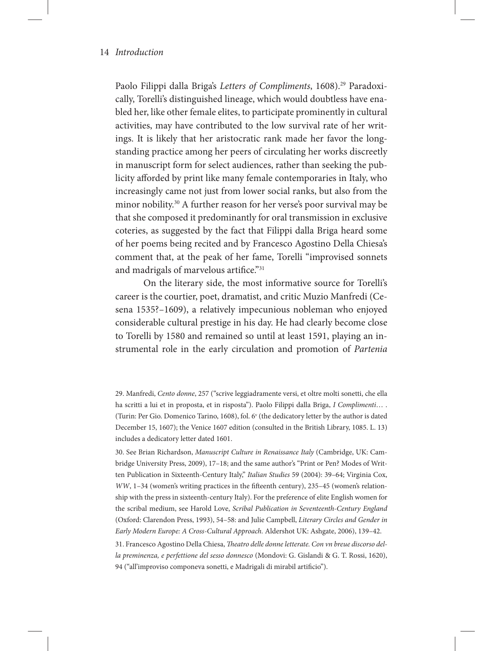Paolo Filippi dalla Briga's *Letters of Compliments*, 1608).<sup>29</sup> Paradoxically, Torelli's distinguished lineage, which would doubtless have enabled her, like other female elites, to participate prominently in cultural activities, may have contributed to the low survival rate of her writings. It is likely that her aristocratic rank made her favor the longstanding practice among her peers of circulating her works discreetly in manuscript form for select audiences, rather than seeking the publicity afforded by print like many female contemporaries in Italy, who increasingly came not just from lower social ranks, but also from the minor nobility.30 A further reason for her verse's poor survival may be that she composed it predominantly for oral transmission in exclusive coteries, as suggested by the fact that Filippi dalla Briga heard some of her poems being recited and by Francesco Agostino Della Chiesa's comment that, at the peak of her fame, Torelli "improvised sonnets and madrigals of marvelous artifice."31

On the literary side, the most informative source for Torelli's career is the courtier, poet, dramatist, and critic Muzio Manfredi (Cesena 1535?–1609), a relatively impecunious nobleman who enjoyed considerable cultural prestige in his day. He had clearly become close to Torelli by 1580 and remained so until at least 1591, playing an instrumental role in the early circulation and promotion of *Partenia*

<sup>29.</sup> Manfredi, *Cento donne*, 257 ("scrive leggiadramente versi, et oltre molti sonetti, che ella ha scritti a lui et in proposta, et in risposta"). Paolo Filippi dalla Briga, *I Complimenti*… . (Turin: Per Gio. Domenico Tarino, 1608), fol. 6" (the dedicatory letter by the author is dated December 15, 1607); the Venice 1607 edition (consulted in the British Library, 1085. L. 13) includes a dedicatory letter dated 1601.

<sup>30.</sup> See Brian Richardson, *Manuscript Culture in Renaissance Italy* (Cambridge, UK: Cambridge University Press, 2009), 17–18; and the same author's "Print or Pen? Modes of Written Publication in Sixteenth-Century Italy," *Italian Studies* 59 (2004): 39–64; Virginia Cox, *WW*, 1–34 (women's writing practices in the fifteenth century), 235–45 (women's relationship with the press in sixteenth-century Italy). For the preference of elite English women for the scribal medium, see Harold Love, *Scribal Publication in Seventeenth-Century England*  (Oxford: Clarendon Press, 1993), 54–58: and Julie Campbell, *Literary Circles and Gender in Early Modern Europe: A Cross-Cultural Approach.* Aldershot UK: Ashgate, 2006), 139–42.

<sup>31.</sup> Francesco Agostino Della Chiesa, *Theatro delle donne letterate. Con vn breue discorso della preminenza, e perfettione del sesso donnesco* (Mondovi: G. Gislandi & G. T. Rossi, 1620), 94 ("all'improviso componeva sonetti, e Madrigali di mirabil artificio").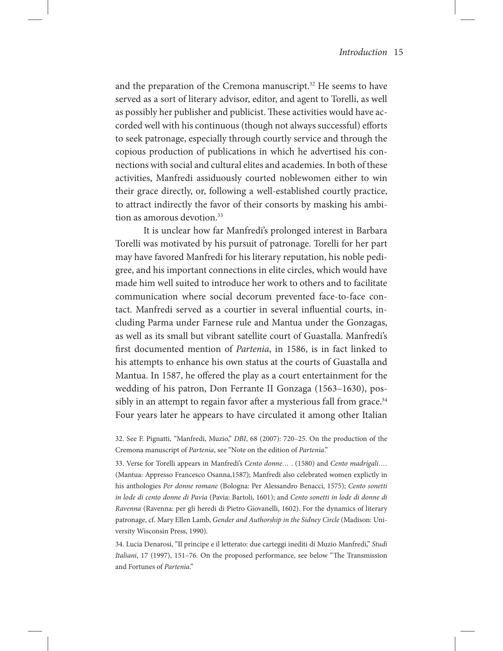and the preparation of the Cremona manuscript.<sup>32</sup> He seems to have served as a sort of literary advisor, editor, and agent to Torelli, as well as possibly her publisher and publicist. These activities would have accorded well with his continuous (though not always successful) efforts to seek patronage, especially through courtly service and through the copious production of publications in which he advertised his connections with social and cultural elites and academies. In both of these activities, Manfredi assiduously courted noblewomen either to win their grace directly, or, following a well-established courtly practice, to attract indirectly the favor of their consorts by masking his ambition as amorous devotion.<sup>33</sup>

It is unclear how far Manfredi's prolonged interest in Barbara Torelli was motivated by his pursuit of patronage. Torelli for her part may have favored Manfredi for his literary reputation, his noble pedigree, and his important connections in elite circles, which would have made him well suited to introduce her work to others and to facilitate communication where social decorum prevented face-to-face contact. Manfredi served as a courtier in several influential courts, including Parma under Farnese rule and Mantua under the Gonzagas, as well as its small but vibrant satellite court of Guastalla. Manfredi's first documented mention of *Partenia*, in 1586, is in fact linked to his attempts to enhance his own status at the courts of Guastalla and Mantua. In 1587, he offered the play as a court entertainment for the wedding of his patron, Don Ferrante II Gonzaga (1563–1630), possibly in an attempt to regain favor after a mysterious fall from grace.<sup>34</sup> Four years later he appears to have circulated it among other Italian

33. Verse for Torelli appears in Manfredi's *Cento donne…* . (1580) and *Cento madrigali… .*  (Mantua: Appresso Francesco Osanna,1587); Manfredi also celebrated women explictly in his anthologies *Per donne romane* (Bologna: Per Alessandro Benacci, 1575); *Cento sonetti in lode di cento donne di Pavia* (Pavia: Bartoli, 1601); and *Cento sonetti in lode di donne di Ravenna* (Ravenna: per gli heredi di Pietro Giovanelli, 1602). For the dynamics of literary patronage, cf. Mary Ellen Lamb, *Gender and Authorship in the Sidney Circle* (Madison: University Wisconsin Press, 1990).

34. Lucia Denarosi, "Il principe e il letterato: due carteggi inediti di Muzio Manfredi," *Studi Italiani*, 17 (1997), 151–76. On the proposed performance, see below "The Transmission and Fortunes of *Partenia*."

<sup>32.</sup> See F. Pignatti, "Manfredi, Muzio," *DBI*, 68 (2007): 720–25. On the production of the Cremona manuscript of *Partenia*, see "Note on the edition of *Partenia*."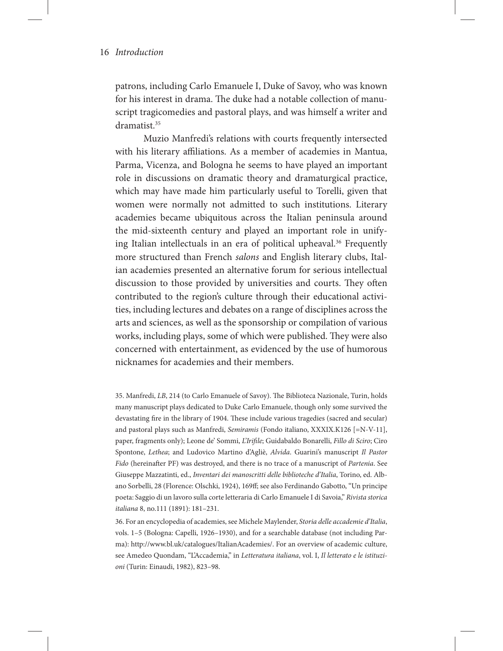patrons, including Carlo Emanuele I, Duke of Savoy, who was known for his interest in drama. The duke had a notable collection of manuscript tragicomedies and pastoral plays, and was himself a writer and dramatist.<sup>35</sup>

Muzio Manfredi's relations with courts frequently intersected with his literary affiliations. As a member of academies in Mantua, Parma, Vicenza, and Bologna he seems to have played an important role in discussions on dramatic theory and dramaturgical practice, which may have made him particularly useful to Torelli, given that women were normally not admitted to such institutions. Literary academies became ubiquitous across the Italian peninsula around the mid-sixteenth century and played an important role in unifying Italian intellectuals in an era of political upheaval.<sup>36</sup> Frequently more structured than French *salons* and English literary clubs, Italian academies presented an alternative forum for serious intellectual discussion to those provided by universities and courts. They often contributed to the region's culture through their educational activities, including lectures and debates on a range of disciplines across the arts and sciences, as well as the sponsorship or compilation of various works, including plays, some of which were published. They were also concerned with entertainment, as evidenced by the use of humorous nicknames for academies and their members.

35. Manfredi, *LB*, 214 (to Carlo Emanuele of Savoy). The Biblioteca Nazionale, Turin, holds many manuscript plays dedicated to Duke Carlo Emanuele, though only some survived the devastating fire in the library of 1904. These include various tragedies (sacred and secular) and pastoral plays such as Manfredi, *Semiramis* (Fondo italiano, XXXIX.K126 [=N-V-11], paper, fragments only); Leone de' Sommi, *L'Irifile*; Guidabaldo Bonarelli, *Fillo di Sciro*; Ciro Spontone, *Lethea*; and Ludovico Martino d'Agliè, *Alvida*. Guarini's manuscript *Il Pastor Fido* (hereinafter PF) was destroyed, and there is no trace of a manuscript of *Partenia*. See Giuseppe Mazzatinti, ed., *Inventari dei manoscritti delle biblioteche d'Italia*, Torino, ed. Albano Sorbelli, 28 (Florence: Olschki, 1924), 169ff; see also Ferdinando Gabotto, "Un principe poeta: Saggio di un lavoro sulla corte letteraria di Carlo Emanuele I di Savoia," *Rivista storica italiana* 8, no.111 (1891): 181–231.

36. For an encyclopedia of academies, see Michele Maylender, *Storia delle accademie d'Italia*, vols. 1–5 (Bologna: Capelli, 1926–1930), and for a searchable database (not including Parma): http://www.bl.uk/catalogues/ItalianAcademies/. For an overview of academic culture, see Amedeo Quondam, "L'Accademia," in *Letteratura italiana*, vol. I, *Il letterato e le istituzioni* (Turin: Einaudi, 1982), 823–98.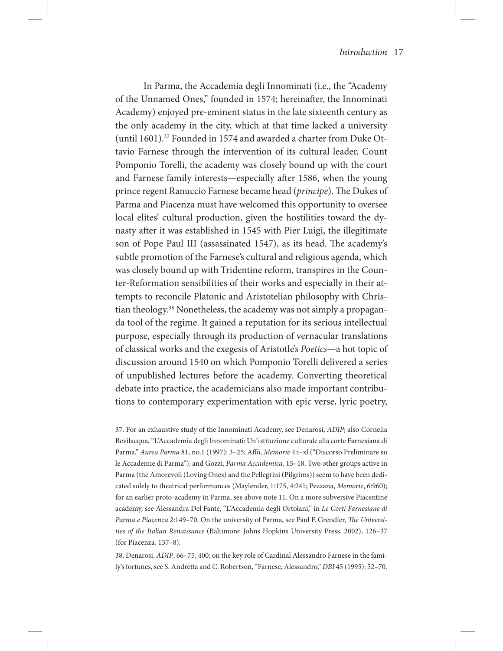In Parma, the Accademia degli Innominati (i.e., the "Academy of the Unnamed Ones," founded in 1574; hereinafter, the Innominati Academy) enjoyed pre-eminent status in the late sixteenth century as the only academy in the city, which at that time lacked a university (until 1601).<sup>37</sup> Founded in 1574 and awarded a charter from Duke Ottavio Farnese through the intervention of its cultural leader, Count Pomponio Torelli, the academy was closely bound up with the court and Farnese family interests—especially after 1586, when the young prince regent Ranuccio Farnese became head (*principe*). The Dukes of Parma and Piacenza must have welcomed this opportunity to oversee local elites' cultural production, given the hostilities toward the dynasty after it was established in 1545 with Pier Luigi, the illegitimate son of Pope Paul III (assassinated 1547), as its head. The academy's subtle promotion of the Farnese's cultural and religious agenda, which was closely bound up with Tridentine reform, transpires in the Counter-Reformation sensibilities of their works and especially in their attempts to reconcile Platonic and Aristotelian philosophy with Christian theology.38 Nonetheless, the academy was not simply a propaganda tool of the regime. It gained a reputation for its serious intellectual purpose, especially through its production of vernacular translations of classical works and the exegesis of Aristotle's *Poetics*—a hot topic of discussion around 1540 on which Pomponio Torelli delivered a series of unpublished lectures before the academy. Converting theoretical debate into practice, the academicians also made important contributions to contemporary experimentation with epic verse, lyric poetry,

37. For an exhaustive study of the Innominati Academy, see Denarosi, *ADIP*; also Cornelia Bevilacqua, "L'Accademia degli Innominati: Un'istituzione culturale alla corte Farnesiana di Parma," *Aurea Parma* 81, no.1 (1997): 3–25; Affò, *Memorie* 4:i–xl ("Discorso Preliminare su le Accademie di Parma"); and Gozzi, *Parma Accademica*, 15–18. Two other groups active in Parma (the Amorevoli (Loving Ones) and the Pellegrini (Pilgrims)) seem to have been dedicated solely to theatrical performances (Maylender, 1:175, 4:241; Pezzana, *Memorie*, 6:960); for an earlier proto-academy in Parma, see above note 11. On a more subversive Piacentine academy, see Alessandra Del Fante, "L'Accademia degli Ortolani," in *Le Corti Farnesiane di Parma e Piacenza* 2:149–70. On the university of Parma, see Paul F. Grendler, *The Universities of the Italian Renaissance* (Baltimore: Johns Hopkins University Press, 2002), 126–37 (for Piacenza, 137–8).

38. Denarosi, *ADIP*, 66–75, 400; on the key role of Cardinal Alessandro Farnese in the family's fortunes, see S. Andretta and C. Robertson, "Farnese, Alessandro," *DBI* 45 (1995): 52–70.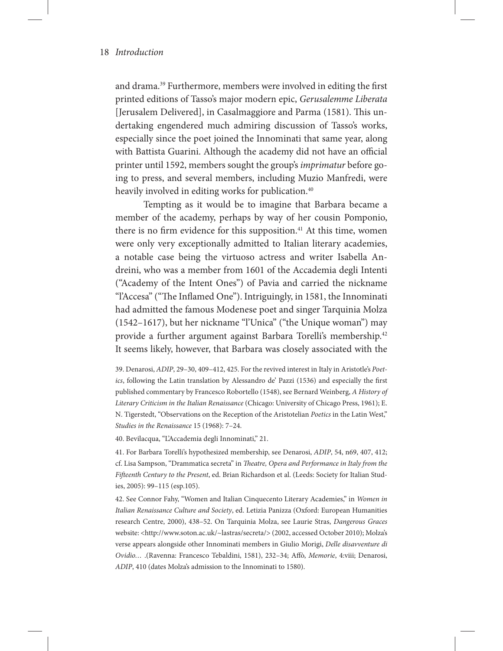and drama.39 Furthermore, members were involved in editing the first printed editions of Tasso's major modern epic, *Gerusalemme Liberata*  [Jerusalem Delivered], in Casalmaggiore and Parma (1581). This undertaking engendered much admiring discussion of Tasso's works, especially since the poet joined the Innominati that same year, along with Battista Guarini. Although the academy did not have an official printer until 1592, members sought the group's *imprimatur* before going to press, and several members, including Muzio Manfredi, were heavily involved in editing works for publication.<sup>40</sup>

Tempting as it would be to imagine that Barbara became a member of the academy, perhaps by way of her cousin Pomponio, there is no firm evidence for this supposition.<sup>41</sup> At this time, women were only very exceptionally admitted to Italian literary academies, a notable case being the virtuoso actress and writer Isabella Andreini, who was a member from 1601 of the Accademia degli Intenti ("Academy of the Intent Ones") of Pavia and carried the nickname "l'Accesa" ("The Inflamed One"). Intriguingly, in 1581, the Innominati had admitted the famous Modenese poet and singer Tarquinia Molza (1542–1617), but her nickname "l'Unica" ("the Unique woman") may provide a further argument against Barbara Torelli's membership.<sup>42</sup> It seems likely, however, that Barbara was closely associated with the

39. Denarosi, *ADIP*, 29–30, 409–412, 425. For the revived interest in Italy in Aristotle's *Poetics*, following the Latin translation by Alessandro de' Pazzi (1536) and especially the first published commentary by Francesco Robortello (1548), see Bernard Weinberg, *A History of Literary Criticism in the Italian Renaissance* (Chicago: University of Chicago Press, 1961); E. N. Tigerstedt, "Observations on the Reception of the Aristotelian *Poetics* in the Latin West," *Studies in the Renaissance* 15 (1968): 7–24.

40. Bevilacqua, "L'Accademia degli Innominati," 21.

41. For Barbara Torelli's hypothesized membership, see Denarosi, *ADIP*, 54, n69, 407, 412; cf. Lisa Sampson, "Drammatica secreta" in *Theatre, Opera and Performance in Italy from the Fifteenth Century to the Present*, ed. Brian Richardson et al. (Leeds: Society for Italian Studies, 2005): 99–115 (esp.105).

42. See Connor Fahy, "Women and Italian Cinquecento Literary Academies," in *Women in Italian Renaissance Culture and Society*, ed. Letizia Panizza (Oxford: European Humanities research Centre, 2000), 438–52. On Tarquinia Molza, see Laurie Stras, *Dangerous Graces*  website: <http://www.soton.ac.uk/~lastras/secreta/> (2002, accessed October 2010); Molza's verse appears alongside other Innominati members in Giulio Morigi, *Delle disavventure di Ovidio…* .(Ravenna: Francesco Tebaldini, 1581), 232–34; Affò, *Memorie*, 4:viii; Denarosi, *ADIP*, 410 (dates Molza's admission to the Innominati to 1580).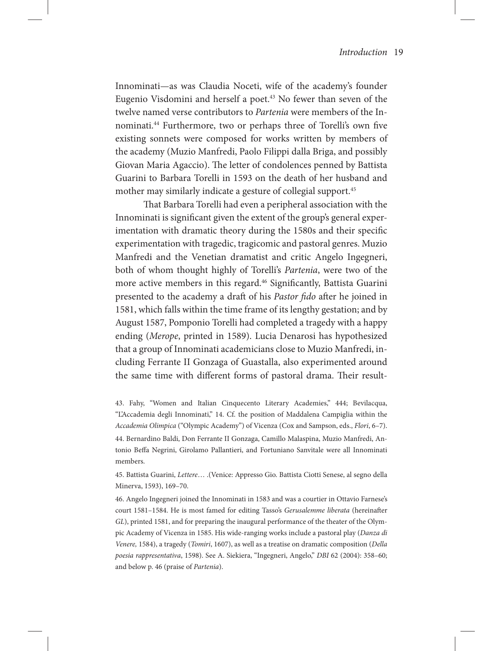Innominati—as was Claudia Noceti, wife of the academy's founder Eugenio Visdomini and herself a poet.<sup>43</sup> No fewer than seven of the twelve named verse contributors to *Partenia* were members of the Innominati.44 Furthermore, two or perhaps three of Torelli's own five existing sonnets were composed for works written by members of the academy (Muzio Manfredi, Paolo Filippi dalla Briga, and possibly Giovan Maria Agaccio). The letter of condolences penned by Battista Guarini to Barbara Torelli in 1593 on the death of her husband and mother may similarly indicate a gesture of collegial support.<sup>45</sup>

That Barbara Torelli had even a peripheral association with the Innominati is significant given the extent of the group's general experimentation with dramatic theory during the 1580s and their specific experimentation with tragedic, tragicomic and pastoral genres. Muzio Manfredi and the Venetian dramatist and critic Angelo Ingegneri, both of whom thought highly of Torelli's *Partenia*, were two of the more active members in this regard.<sup>46</sup> Significantly, Battista Guarini presented to the academy a draft of his *Pastor fido* after he joined in 1581, which falls within the time frame of its lengthy gestation; and by August 1587, Pomponio Torelli had completed a tragedy with a happy ending (*Merope*, printed in 1589). Lucia Denarosi has hypothesized that a group of Innominati academicians close to Muzio Manfredi, including Ferrante II Gonzaga of Guastalla, also experimented around the same time with different forms of pastoral drama. Their result-

43. Fahy, "Women and Italian Cinquecento Literary Academies," 444; Bevilacqua, "L'Accademia degli Innominati," 14. Cf. the position of Maddalena Campiglia within the *Accademia Olimpica* ("Olympic Academy") of Vicenza (Cox and Sampson, eds., *Flori*, 6–7). 44. Bernardino Baldi, Don Ferrante II Gonzaga, Camillo Malaspina, Muzio Manfredi, Antonio Beffa Negrini, Girolamo Pallantieri, and Fortuniano Sanvitale were all Innominati members.

45. Battista Guarini, *Lettere*… .(Venice: Appresso Gio. Battista Ciotti Senese, al segno della Minerva, 1593), 169–70.

46. Angelo Ingegneri joined the Innominati in 1583 and was a courtier in Ottavio Farnese's court 1581–1584. He is most famed for editing Tasso's *Gerusalemme liberata* (hereinafter *GL*), printed 1581, and for preparing the inaugural performance of the theater of the Olympic Academy of Vicenza in 1585. His wide-ranging works include a pastoral play (*Danza di Venere,* 1584), a tragedy (*Tomiri*, 1607), as well as a treatise on dramatic composition (*Della poesia rappresentativa*, 1598). See A. Siekiera, "Ingegneri, Angelo," *DBI* 62 (2004): 358–60; and below p. 46 (praise of *Partenia*).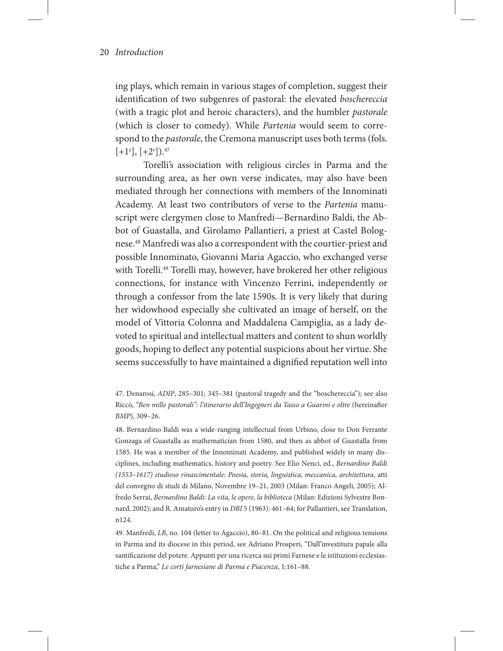ing plays, which remain in various stages of completion, suggest their identification of two subgenres of pastoral: the elevated *boschereccia* (with a tragic plot and heroic characters), and the humbler *pastorale* (which is closer to comedy). While *Partenia* would seem to correspond to the *pastorale*, the Cremona manuscript uses both terms (fols.  $[+1^r], [+2^r]$ ).<sup>47</sup>

Torelli's association with religious circles in Parma and the surrounding area, as her own verse indicates, may also have been mediated through her connections with members of the Innominati Academy. At least two contributors of verse to the *Partenia* manuscript were clergymen close to Manfredi—Bernardino Baldi, the Abbot of Guastalla, and Girolamo Pallantieri, a priest at Castel Bolognese.48 Manfredi was also a correspondent with the courtier-priest and possible Innominato, Giovanni Maria Agaccio, who exchanged verse with Torelli.<sup>49</sup> Torelli may, however, have brokered her other religious connections, for instance with Vincenzo Ferrini, independently or through a confessor from the late 1590s. It is very likely that during her widowhood especially she cultivated an image of herself, on the model of Vittoria Colonna and Maddalena Campiglia, as a lady devoted to spiritual and intellectual matters and content to shun worldly goods, hoping to deflect any potential suspicions about her virtue. She seems successfully to have maintained a dignified reputation well into

48. Bernardino Baldi was a wide-ranging intellectual from Urbino, close to Don Ferrante Gonzaga of Guastalla as mathematician from 1580, and then as abbot of Guastalla from 1585. He was a member of the Innominati Academy, and published widely in many disciplines, including mathematics, history and poetry. See Elio Nenci, ed., *Bernardino Baldi (1553–1617) studioso rinascimentale: Poesia, storia, linguistica, meccanica, architettura*, atti del convegno di studi di Milano, Novembre 19–21, 2003 (Milan: Franco Angeli, 2005); Alfredo Serrai, *Bernardino Baldi: La vita, le opere, la biblioteca* (Milan: Edizioni Sylvestre Bonnard, 2002); and R. Amaturo's entry in *DBI* 5 (1963): 461–64; for Pallantieri, see Translation, n124.

49. Manfredi, *LB*, no. 104 (letter to Agaccio), 80–81. On the political and religious tensions in Parma and its diocese in this period, see Adriano Prosperi, "Dall'investitura papale alla santificazione del potere. Appunti per una ricerca sui primi Farnese e le istituzioni ecclesiastiche a Parma," *Le corti farnesiane di Parma e Piacenza*, 1:161–88.

<sup>47.</sup> Denarosi, *ADIP*, 285–301; 345–381 (pastoral tragedy and the "boschereccia"); see also Riccò, "Ben mille pastorali": l'itinerario dell'Ingegneri da Tasso a Guarini e oltre (hereinafter *BMP*), 309–26.